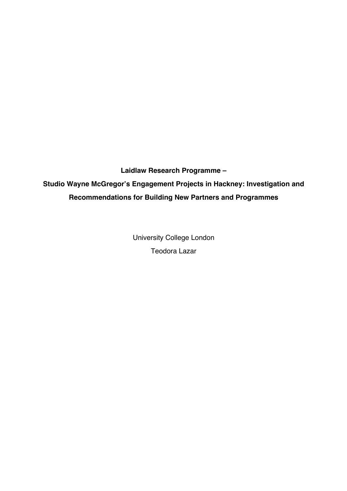**Laidlaw Research Programme – Studio Wayne McGregor's Engagement Projects in Hackney: Investigation and Recommendations for Building New Partners and Programmes**

> University College London Teodora Lazar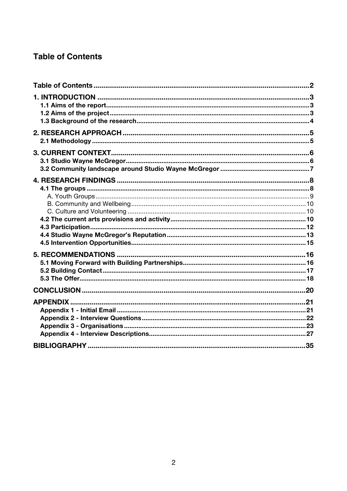# **Table of Contents**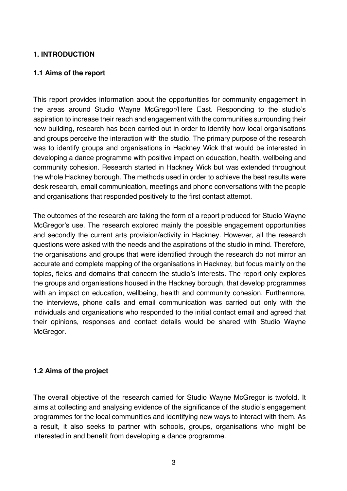## **1. INTRODUCTION**

#### **1.1 Aims of the report**

This report provides information about the opportunities for community engagement in the areas around Studio Wayne McGregor/Here East. Responding to the studio's aspiration to increase their reach and engagement with the communities surrounding their new building, research has been carried out in order to identify how local organisations and groups perceive the interaction with the studio. The primary purpose of the research was to identify groups and organisations in Hackney Wick that would be interested in developing a dance programme with positive impact on education, health, wellbeing and community cohesion. Research started in Hackney Wick but was extended throughout the whole Hackney borough. The methods used in order to achieve the best results were desk research, email communication, meetings and phone conversations with the people and organisations that responded positively to the first contact attempt.

The outcomes of the research are taking the form of a report produced for Studio Wayne McGregor's use. The research explored mainly the possible engagement opportunities and secondly the current arts provision/activity in Hackney. However, all the research questions were asked with the needs and the aspirations of the studio in mind. Therefore, the organisations and groups that were identified through the research do not mirror an accurate and complete mapping of the organisations in Hackney, but focus mainly on the topics, fields and domains that concern the studio's interests. The report only explores the groups and organisations housed in the Hackney borough, that develop programmes with an impact on education, wellbeing, health and community cohesion. Furthermore, the interviews, phone calls and email communication was carried out only with the individuals and organisations who responded to the initial contact email and agreed that their opinions, responses and contact details would be shared with Studio Wayne McGregor.

#### **1.2 Aims of the project**

The overall objective of the research carried for Studio Wayne McGregor is twofold. It aims at collecting and analysing evidence of the significance of the studio's engagement programmes for the local communities and identifying new ways to interact with them. As a result, it also seeks to partner with schools, groups, organisations who might be interested in and benefit from developing a dance programme.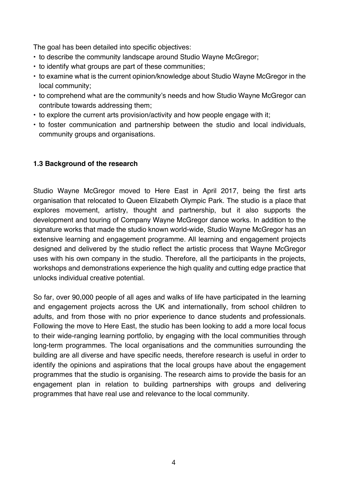The goal has been detailed into specific objectives:

- to describe the community landscape around Studio Wayne McGregor;
- to identify what groups are part of these communities;
- to examine what is the current opinion/knowledge about Studio Wayne McGregor in the local community;
- to comprehend what are the community's needs and how Studio Wayne McGregor can contribute towards addressing them;
- to explore the current arts provision/activity and how people engage with it;
- to foster communication and partnership between the studio and local individuals, community groups and organisations.

# **1.3 Background of the research**

Studio Wayne McGregor moved to Here East in April 2017, being the first arts organisation that relocated to Queen Elizabeth Olympic Park. The studio is a place that explores movement, artistry, thought and partnership, but it also supports the development and touring of Company Wayne McGregor dance works. In addition to the signature works that made the studio known world-wide, Studio Wayne McGregor has an extensive learning and engagement programme. All learning and engagement projects designed and delivered by the studio reflect the artistic process that Wayne McGregor uses with his own company in the studio. Therefore, all the participants in the projects, workshops and demonstrations experience the high quality and cutting edge practice that unlocks individual creative potential.

So far, over 90,000 people of all ages and walks of life have participated in the learning and engagement projects across the UK and internationally, from school children to adults, and from those with no prior experience to dance students and professionals. Following the move to Here East, the studio has been looking to add a more local focus to their wide-ranging learning portfolio, by engaging with the local communities through long-term programmes. The local organisations and the communities surrounding the building are all diverse and have specific needs, therefore research is useful in order to identify the opinions and aspirations that the local groups have about the engagement programmes that the studio is organising. The research aims to provide the basis for an engagement plan in relation to building partnerships with groups and delivering programmes that have real use and relevance to the local community.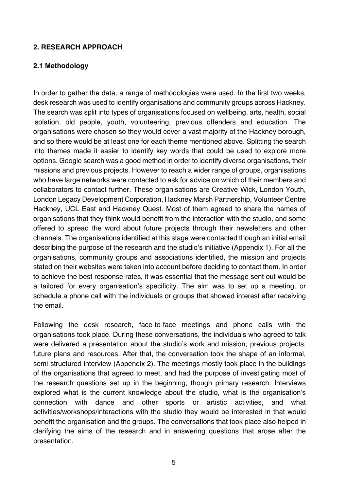#### **2. RESEARCH APPROACH**

#### **2.1 Methodology**

In order to gather the data, a range of methodologies were used. In the first two weeks, desk research was used to identify organisations and community groups across Hackney. The search was split into types of organisations focused on wellbeing, arts, health, social isolation, old people, youth, volunteering, previous offenders and education. The organisations were chosen so they would cover a vast majority of the Hackney borough, and so there would be at least one for each theme mentioned above. Splitting the search into themes made it easier to identify key words that could be used to explore more options. Google search was a good method in order to identify diverse organisations, their missions and previous projects. However to reach a wider range of groups, organisations who have large networks were contacted to ask for advice on which of their members and collaborators to contact further. These organisations are Creative Wick, London Youth, London Legacy Development Corporation, Hackney Marsh Partnership, Volunteer Centre Hackney, UCL East and Hackney Quest. Most of them agreed to share the names of organisations that they think would benefit from the interaction with the studio, and some offered to spread the word about future projects through their newsletters and other channels. The organisations identified at this stage were contacted though an initial email describing the purpose of the research and the studio's initiative (Appendix 1). For all the organisations, community groups and associations identified, the mission and projects stated on their websites were taken into account before deciding to contact them. In order to achieve the best response rates, it was essential that the message sent out would be a tailored for every organisation's specificity. The aim was to set up a meeting, or schedule a phone call with the individuals or groups that showed interest after receiving the email.

Following the desk research, face-to-face meetings and phone calls with the organisations took place. During these conversations, the individuals who agreed to talk were delivered a presentation about the studio's work and mission, previous projects, future plans and resources. After that, the conversation took the shape of an informal, semi-structured interview (Appendix 2). The meetings mostly took place in the buildings of the organisations that agreed to meet, and had the purpose of investigating most of the research questions set up in the beginning, though primary research. Interviews explored what is the current knowledge about the studio, what is the organisation's connection with dance and other sports or artistic activities, and what activities/workshops/interactions with the studio they would be interested in that would benefit the organisation and the groups. The conversations that took place also helped in clarifying the aims of the research and in answering questions that arose after the presentation.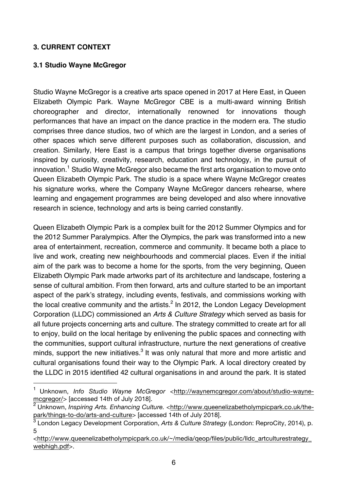## **3. CURRENT CONTEXT**

 $\overline{a}$ 

### **3.1 Studio Wayne McGregor**

Studio Wayne McGregor is a creative arts space opened in 2017 at Here East, in Queen Elizabeth Olympic Park. Wayne McGregor CBE is a multi-award winning British choreographer and director, internationally renowned for innovations though performances that have an impact on the dance practice in the modern era. The studio comprises three dance studios, two of which are the largest in London, and a series of other spaces which serve different purposes such as collaboration, discussion, and creation. Similarly, Here East is a campus that brings together diverse organisations inspired by curiosity, creativity, research, education and technology, in the pursuit of innovation.<sup>1</sup> Studio Wayne McGregor also became the first arts organisation to move onto Queen Elizabeth Olympic Park. The studio is a space where Wayne McGregor creates his signature works, where the Company Wayne McGregor dancers rehearse, where learning and engagement programmes are being developed and also where innovative research in science, technology and arts is being carried constantly.

Queen Elizabeth Olympic Park is a complex built for the 2012 Summer Olympics and for the 2012 Summer Paralympics. After the Olympics, the park was transformed into a new area of entertainment, recreation, commerce and community. It became both a place to live and work, creating new neighbourhoods and commercial places. Even if the initial aim of the park was to become a home for the sports, from the very beginning, Queen Elizabeth Olympic Park made artworks part of its architecture and landscape, fostering a sense of cultural ambition. From then forward, arts and culture started to be an important aspect of the park's strategy, including events, festivals, and commissions working with the local creative community and the artists. $<sup>2</sup>$  In 2012, the London Legacy Development</sup> Corporation (LLDC) commissioned an *Arts & Culture Strategy* which served as basis for all future projects concerning arts and culture. The strategy committed to create art for all to enjoy, build on the local heritage by enlivening the public spaces and connecting with the communities, support cultural infrastructure, nurture the next generations of creative minds, support the new initiatives.<sup>3</sup> It was only natural that more and more artistic and cultural organisations found their way to the Olympic Park. A local directory created by the LLDC in 2015 identified 42 cultural organisations in and around the park. It is stated

<sup>1</sup> Unknown, *Info Studio Wayne McGregor* <http://waynemcgregor.com/about/studio-waynemcgregor/> [accessed 14th of July 2018].

<sup>2</sup> Unknown, *Inspiring Arts. Enhancing Culture.* <http://www.queenelizabetholympicpark.co.uk/thepark/things-to-do/arts-and-culture> [accessed 14th of July 2018].

<sup>3</sup> London Legacy Development Corporation, *Arts & Culture Strategy* (London: ReproCity, 2014), p. 5

<sup>&</sup>lt;http://www.queenelizabetholympicpark.co.uk/~/media/qeop/files/public/lldc\_artculturestrategy\_ webhigh.pdf>.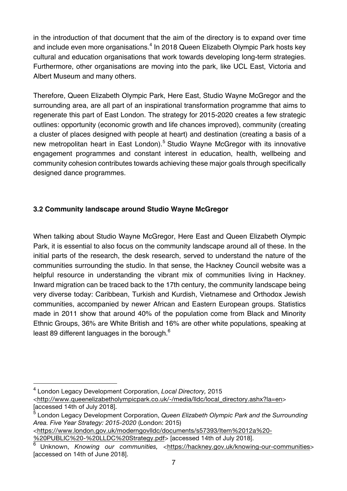in the introduction of that document that the aim of the directory is to expand over time and include even more organisations.<sup>4</sup> In 2018 Queen Elizabeth Olympic Park hosts key cultural and education organisations that work towards developing long-term strategies. Furthermore, other organisations are moving into the park, like UCL East, Victoria and Albert Museum and many others.

Therefore, Queen Elizabeth Olympic Park, Here East, Studio Wayne McGregor and the surrounding area, are all part of an inspirational transformation programme that aims to regenerate this part of East London. The strategy for 2015-2020 creates a few strategic outlines: opportunity (economic growth and life chances improved), community (creating a cluster of places designed with people at heart) and destination (creating a basis of a new metropolitan heart in East London).<sup>5</sup> Studio Wayne McGregor with its innovative engagement programmes and constant interest in education, health, wellbeing and community cohesion contributes towards achieving these major goals through specifically designed dance programmes.

# **3.2 Community landscape around Studio Wayne McGregor**

When talking about Studio Wayne McGregor, Here East and Queen Elizabeth Olympic Park, it is essential to also focus on the community landscape around all of these. In the initial parts of the research, the desk research, served to understand the nature of the communities surrounding the studio. In that sense, the Hackney Council website was a helpful resource in understanding the vibrant mix of communities living in Hackney. Inward migration can be traced back to the 17th century, the community landscape being very diverse today: Caribbean, Turkish and Kurdish, Vietnamese and Orthodox Jewish communities, accompanied by newer African and Eastern European groups. Statistics made in 2011 show that around 40% of the population come from Black and Minority Ethnic Groups, 36% are White British and 16% are other white populations, speaking at least 89 different languages in the borough.<sup>6</sup>

 $\overline{a}$ 

<sup>4</sup> London Legacy Development Corporation, *Local Directory,* 2015

<sup>&</sup>lt;http://www.queenelizabetholympicpark.co.uk/-/media/lldc/local\_directory.ashx?la=en> [accessed 14th of July 2018].

<sup>5</sup> London Legacy Development Corporation, *Queen Elizabeth Olympic Park and the Surrounding Area. Five Year Strategy: 2015-2020* (London: 2015)

*<sup>&</sup>lt;*https://www.london.gov.uk/moderngovlldc/documents/s57393/Item%2012a%20- %20PUBLIC%20-%20LLDC%20Strategy.pdf*>* [accessed 14th of July 2018].

<sup>6</sup> Unknown, *Knowing our communities,* <https://hackney.gov.uk/knowing-our-communities> [accessed on 14th of June 2018].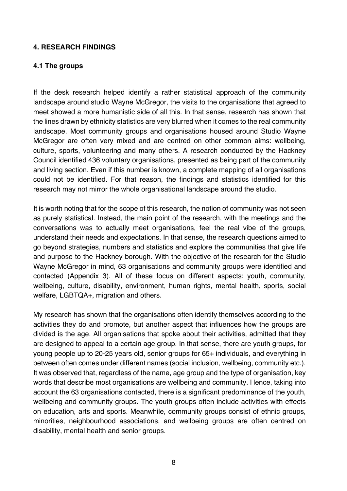#### **4. RESEARCH FINDINGS**

#### **4.1 The groups**

If the desk research helped identify a rather statistical approach of the community landscape around studio Wayne McGregor, the visits to the organisations that agreed to meet showed a more humanistic side of all this. In that sense, research has shown that the lines drawn by ethnicity statistics are very blurred when it comes to the real community landscape. Most community groups and organisations housed around Studio Wayne McGregor are often very mixed and are centred on other common aims: wellbeing, culture, sports, volunteering and many others. A research conducted by the Hackney Council identified 436 voluntary organisations, presented as being part of the community and living section. Even if this number is known, a complete mapping of all organisations could not be identified. For that reason, the findings and statistics identified for this research may not mirror the whole organisational landscape around the studio.

It is worth noting that for the scope of this research, the notion of community was not seen as purely statistical. Instead, the main point of the research, with the meetings and the conversations was to actually meet organisations, feel the real vibe of the groups, understand their needs and expectations. In that sense, the research questions aimed to go beyond strategies, numbers and statistics and explore the communities that give life and purpose to the Hackney borough. With the objective of the research for the Studio Wayne McGregor in mind, 63 organisations and community groups were identified and contacted (Appendix 3). All of these focus on different aspects: youth, community, wellbeing, culture, disability, environment, human rights, mental health, sports, social welfare, LGBTQA+, migration and others.

My research has shown that the organisations often identify themselves according to the activities they do and promote, but another aspect that influences how the groups are divided is the age. All organisations that spoke about their activities, admitted that they are designed to appeal to a certain age group. In that sense, there are youth groups, for young people up to 20-25 years old, senior groups for 65+ individuals, and everything in between often comes under different names (social inclusion, wellbeing, community etc.). It was observed that, regardless of the name, age group and the type of organisation, key words that describe most organisations are wellbeing and community. Hence, taking into account the 63 organisations contacted, there is a significant predominance of the youth, wellbeing and community groups. The youth groups often include activities with effects on education, arts and sports. Meanwhile, community groups consist of ethnic groups, minorities, neighbourhood associations, and wellbeing groups are often centred on disability, mental health and senior groups.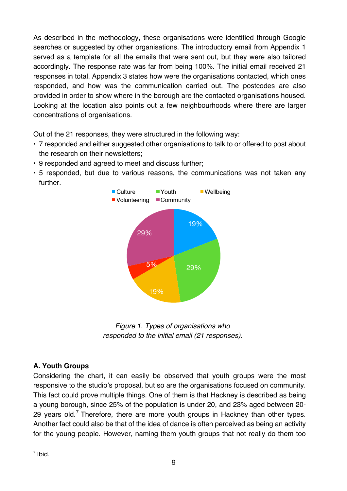As described in the methodology, these organisations were identified through Google searches or suggested by other organisations. The introductory email from Appendix 1 served as a template for all the emails that were sent out, but they were also tailored accordingly. The response rate was far from being 100%. The initial email received 21 responses in total. Appendix 3 states how were the organisations contacted, which ones responded, and how was the communication carried out. The postcodes are also provided in order to show where in the borough are the contacted organisations housed. Looking at the location also points out a few neighbourhoods where there are larger concentrations of organisations.

Out of the 21 responses, they were structured in the following way:

- 7 responded and either suggested other organisations to talk to or offered to post about the research on their newsletters;
- 9 responded and agreed to meet and discuss further;
- 5 responded, but due to various reasons, the communications was not taken any further.



*Figure 1. Types of organisations who responded to the initial email (21 responses).*

# **A. Youth Groups**

Considering the chart, it can easily be observed that youth groups were the most responsive to the studio's proposal, but so are the organisations focused on community. This fact could prove multiple things. One of them is that Hackney is described as being a young borough, since 25% of the population is under 20, and 23% aged between 20- 29 years old.<sup>7</sup> Therefore, there are more youth groups in Hackney than other types. Another fact could also be that of the idea of dance is often perceived as being an activity for the young people. However, naming them youth groups that not really do them too

 $\overline{a}$  $<sup>7</sup>$  Ibid.</sup>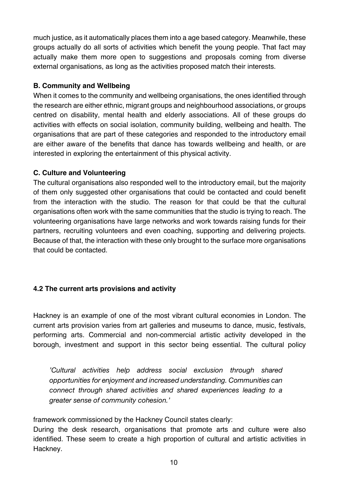much justice, as it automatically places them into a age based category. Meanwhile, these groups actually do all sorts of activities which benefit the young people. That fact may actually make them more open to suggestions and proposals coming from diverse external organisations, as long as the activities proposed match their interests.

## **B. Community and Wellbeing**

When it comes to the community and wellbeing organisations, the ones identified through the research are either ethnic, migrant groups and neighbourhood associations, or groups centred on disability, mental health and elderly associations. All of these groups do activities with effects on social isolation, community building, wellbeing and health. The organisations that are part of these categories and responded to the introductory email are either aware of the benefits that dance has towards wellbeing and health, or are interested in exploring the entertainment of this physical activity.

## **C. Culture and Volunteering**

The cultural organisations also responded well to the introductory email, but the majority of them only suggested other organisations that could be contacted and could benefit from the interaction with the studio. The reason for that could be that the cultural organisations often work with the same communities that the studio is trying to reach. The volunteering organisations have large networks and work towards raising funds for their partners, recruiting volunteers and even coaching, supporting and delivering projects. Because of that, the interaction with these only brought to the surface more organisations that could be contacted.

# **4.2 The current arts provisions and activity**

Hackney is an example of one of the most vibrant cultural economies in London. The current arts provision varies from art galleries and museums to dance, music, festivals, performing arts. Commercial and non-commercial artistic activity developed in the borough, investment and support in this sector being essential. The cultural policy

*'Cultural activities help address social exclusion through shared opportunities for enjoyment and increased understanding. Communities can connect through shared activities and shared experiences leading to a greater sense of community cohesion.'*

framework commissioned by the Hackney Council states clearly:

During the desk research, organisations that promote arts and culture were also identified. These seem to create a high proportion of cultural and artistic activities in Hackney.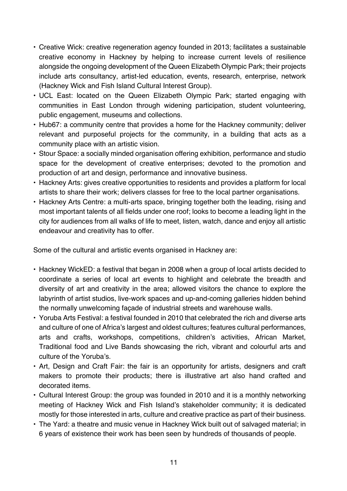- Creative Wick: creative regeneration agency founded in 2013; facilitates a sustainable creative economy in Hackney by helping to increase current levels of resilience alongside the ongoing development of the Queen Elizabeth Olympic Park; their projects include arts consultancy, artist-led education, events, research, enterprise, network (Hackney Wick and Fish Island Cultural Interest Group).
- UCL East: located on the Queen Elizabeth Olympic Park; started engaging with communities in East London through widening participation, student volunteering, public engagement, museums and collections.
- Hub67: a community centre that provides a home for the Hackney community; deliver relevant and purposeful projects for the community, in a building that acts as a community place with an artistic vision.
- Stour Space: a socially minded organisation offering exhibition, performance and studio space for the development of creative enterprises; devoted to the promotion and production of art and design, performance and innovative business.
- Hackney Arts: gives creative opportunities to residents and provides a platform for local artists to share their work; delivers classes for free to the local partner organisations.
- Hackney Arts Centre: a multi-arts space, bringing together both the leading, rising and most important talents of all fields under one roof; looks to become a leading light in the city for audiences from all walks of life to meet, listen, watch, dance and enjoy all artistic endeavour and creativity has to offer.

Some of the cultural and artistic events organised in Hackney are:

- Hackney WickED: a festival that began in 2008 when a group of local artists decided to coordinate a series of local art events to highlight and celebrate the breadth and diversity of art and creativity in the area; allowed visitors the chance to explore the labyrinth of artist studios, live-work spaces and up-and-coming galleries hidden behind the normally unwelcoming façade of industrial streets and warehouse walls.
- Yoruba Arts Festival: a festival founded in 2010 that celebrated the rich and diverse arts and culture of one of Africa's largest and oldest cultures; features cultural performances, arts and crafts, workshops, competitions, children's activities, African Market, Traditional food and Live Bands showcasing the rich, vibrant and colourful arts and culture of the Yoruba's.
- Art, Design and Craft Fair: the fair is an opportunity for artists, designers and craft makers to promote their products; there is illustrative art also hand crafted and decorated items.
- Cultural Interest Group: the group was founded in 2010 and it is a monthly networking meeting of Hackney Wick and Fish Island's stakeholder community; it is dedicated mostly for those interested in arts, culture and creative practice as part of their business.
- The Yard: a theatre and music venue in Hackney Wick built out of salvaged material; in 6 years of existence their work has been seen by hundreds of thousands of people.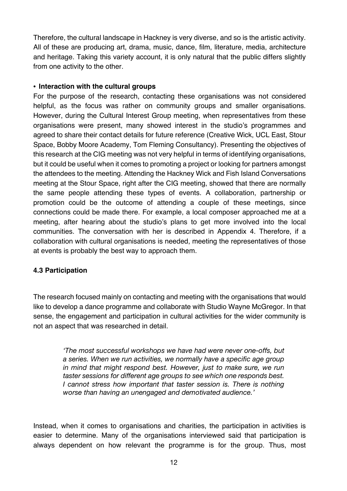Therefore, the cultural landscape in Hackney is very diverse, and so is the artistic activity. All of these are producing art, drama, music, dance, film, literature, media, architecture and heritage. Taking this variety account, it is only natural that the public differs slightly from one activity to the other.

## • **Interaction with the cultural groups**

For the purpose of the research, contacting these organisations was not considered helpful, as the focus was rather on community groups and smaller organisations. However, during the Cultural Interest Group meeting, when representatives from these organisations were present, many showed interest in the studio's programmes and agreed to share their contact details for future reference (Creative Wick, UCL East, Stour Space, Bobby Moore Academy, Tom Fleming Consultancy). Presenting the objectives of this research at the CIG meeting was not very helpful in terms of identifying organisations, but it could be useful when it comes to promoting a project or looking for partners amongst the attendees to the meeting. Attending the Hackney Wick and Fish Island Conversations meeting at the Stour Space, right after the CIG meeting, showed that there are normally the same people attending these types of events. A collaboration, partnership or promotion could be the outcome of attending a couple of these meetings, since connections could be made there. For example, a local composer approached me at a meeting, after hearing about the studio's plans to get more involved into the local communities. The conversation with her is described in Appendix 4. Therefore, if a collaboration with cultural organisations is needed, meeting the representatives of those at events is probably the best way to approach them.

# **4.3 Participation**

The research focused mainly on contacting and meeting with the organisations that would like to develop a dance programme and collaborate with Studio Wayne McGregor. In that sense, the engagement and participation in cultural activities for the wider community is not an aspect that was researched in detail.

> *'The most successful workshops we have had were never one-offs, but a series. When we run activities, we normally have a specific age group in mind that might respond best. However, just to make sure, we run taster sessions for different age groups to see which one responds best. I cannot stress how important that taster session is. There is nothing worse than having an unengaged and demotivated audience.'*

Instead, when it comes to organisations and charities, the participation in activities is easier to determine. Many of the organisations interviewed said that participation is always dependent on how relevant the programme is for the group. Thus, most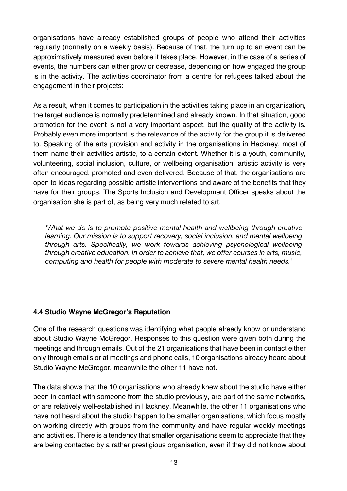organisations have already established groups of people who attend their activities regularly (normally on a weekly basis). Because of that, the turn up to an event can be approximatively measured even before it takes place. However, in the case of a series of events, the numbers can either grow or decrease, depending on how engaged the group is in the activity. The activities coordinator from a centre for refugees talked about the engagement in their projects:

As a result, when it comes to participation in the activities taking place in an organisation, the target audience is normally predetermined and already known. In that situation, good promotion for the event is not a very important aspect, but the quality of the activity is. Probably even more important is the relevance of the activity for the group it is delivered to. Speaking of the arts provision and activity in the organisations in Hackney, most of them name their activities artistic, to a certain extent. Whether it is a youth, community, volunteering, social inclusion, culture, or wellbeing organisation, artistic activity is very often encouraged, promoted and even delivered. Because of that, the organisations are open to ideas regarding possible artistic interventions and aware of the benefits that they have for their groups. The Sports Inclusion and Development Officer speaks about the organisation she is part of, as being very much related to art.

*'What we do is to promote positive mental health and wellbeing through creative learning. Our mission is to support recovery, social inclusion, and mental wellbeing through arts. Specifically, we work towards achieving psychological wellbeing through creative education. In order to achieve that, we offer courses in arts, music, computing and health for people with moderate to severe mental health needs.'*

# **4.4 Studio Wayne McGregor's Reputation**

One of the research questions was identifying what people already know or understand about Studio Wayne McGregor. Responses to this question were given both during the meetings and through emails. Out of the 21 organisations that have been in contact either only through emails or at meetings and phone calls, 10 organisations already heard about Studio Wayne McGregor, meanwhile the other 11 have not.

The data shows that the 10 organisations who already knew about the studio have either been in contact with someone from the studio previously, are part of the same networks, or are relatively well-established in Hackney. Meanwhile, the other 11 organisations who have not heard about the studio happen to be smaller organisations, which focus mostly on working directly with groups from the community and have regular weekly meetings and activities. There is a tendency that smaller organisations seem to appreciate that they are being contacted by a rather prestigious organisation, even if they did not know about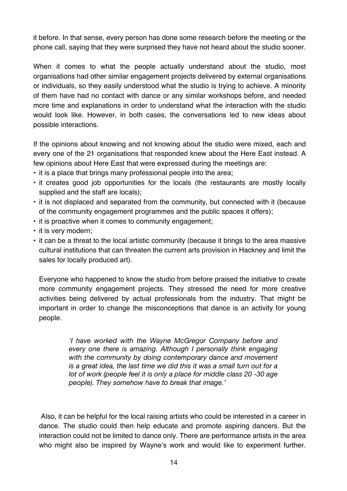it before. In that sense, every person has done some research before the meeting or the phone call, saying that they were surprised they have not heard about the studio sooner.

When it comes to what the people actually understand about the studio, most organisations had other similar engagement projects delivered by external organisations or individuals, so they easily understood what the studio is trying to achieve. A minority of them have had no contact with dance or any similar workshops before, and needed more time and explanations in order to understand what the interaction with the studio would look like. However, in both cases, the conversations led to new ideas about possible interactions.

If the opinions about knowing and not knowing about the studio were mixed, each and every one of the 21 organisations that responded knew about the Here East instead. A few opinions about Here East that were expressed during the meetings are:

- it is a place that brings many professional people into the area;
- it creates good job opportunities for the locals (the restaurants are mostly locally supplied and the staff are locals);
- it is not displaced and separated from the community, but connected with it (because of the community engagement programmes and the public spaces it offers);
- it is proactive when it comes to community engagement;
- it is very modern;
- it can be a threat to the local artistic community (because it brings to the area massive cultural institutions that can threaten the current arts provision in Hackney and limit the sales for locally produced art).

Everyone who happened to know the studio from before praised the initiative to create more community engagement projects. They stressed the need for more creative activities being delivered by actual professionals from the industry. That might be important in order to change the misconceptions that dance is an activity for young people.

> *'I have worked with the Wayne McGregor Company before and every one there is amazing. Although I personally think engaging with the community by doing contemporary dance and movement is a great idea, the last time we did this it was a small turn out for a lot of work (people feel it is only a place for middle class 20 -30 age people). They somehow have to break that image.'*

Also, it can be helpful for the local raising artists who could be interested in a career in dance. The studio could then help educate and promote aspiring dancers. But the interaction could not be limited to dance only. There are performance artists in the area who might also be inspired by Wayne's work and would like to experiment further.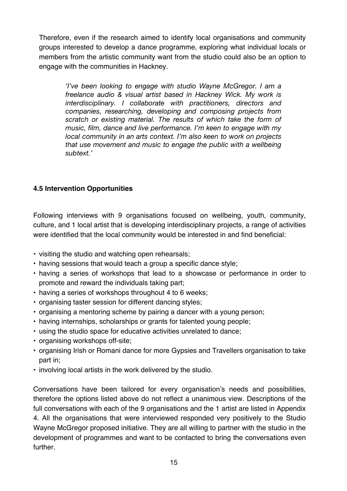Therefore, even if the research aimed to identify local organisations and community groups interested to develop a dance programme, exploring what individual locals or members from the artistic community want from the studio could also be an option to engage with the communities in Hackney.

*'I've been looking to engage with studio Wayne McGregor. I am a freelance audio & visual artist based in Hackney Wick. My work is interdisciplinary. I collaborate with practitioners, directors and companies, researching, developing and composing projects from scratch or existing material. The results of which take the form of music, film, dance and live performance. I'm keen to engage with my local community in an arts context. I'm also keen to work on projects that use movement and music to engage the public with a wellbeing subtext.'*

# **4.5 Intervention Opportunities**

Following interviews with 9 organisations focused on wellbeing, youth, community, culture, and 1 local artist that is developing interdisciplinary projects, a range of activities were identified that the local community would be interested in and find beneficial:

- visiting the studio and watching open rehearsals;
- having sessions that would teach a group a specific dance style;
- having a series of workshops that lead to a showcase or performance in order to promote and reward the individuals taking part;
- having a series of workshops throughout 4 to 6 weeks;
- organising taster session for different dancing styles;
- organising a mentoring scheme by pairing a dancer with a young person;
- having internships, scholarships or grants for talented young people;
- using the studio space for educative activities unrelated to dance;
- organising workshops off-site;
- organising Irish or Romani dance for more Gypsies and Travellers organisation to take part in;
- involving local artists in the work delivered by the studio.

Conversations have been tailored for every organisation's needs and possibilities, therefore the options listed above do not reflect a unanimous view. Descriptions of the full conversations with each of the 9 organisations and the 1 artist are listed in Appendix 4. All the organisations that were interviewed responded very positively to the Studio Wayne McGregor proposed initiative. They are all willing to partner with the studio in the development of programmes and want to be contacted to bring the conversations even further.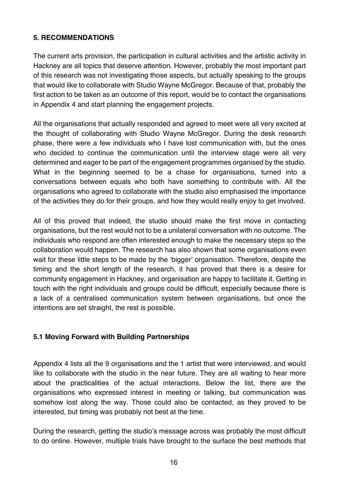## **5. RECOMMENDATIONS**

The current arts provision, the participation in cultural activities and the artistic activity in Hackney are all topics that deserve attention. However, probably the most important part of this research was not investigating those aspects, but actually speaking to the groups that would like to collaborate with Studio Wayne McGregor. Because of that, probably the first action to be taken as an outcome of this report, would be to contact the organisations in Appendix 4 and start planning the engagement projects.

All the organisations that actually responded and agreed to meet were all very excited at the thought of collaborating with Studio Wayne McGregor. During the desk research phase, there were a few individuals who I have lost communication with, but the ones who decided to continue the communication until the interview stage were all very determined and eager to be part of the engagement programmes organised by the studio. What in the beginning seemed to be a chase for organisations, turned into a conversations between equals who both have something to contribute with. All the organisations who agreed to collaborate with the studio also emphasised the importance of the activities they do for their groups, and how they would really enjoy to get involved.

All of this proved that indeed, the studio should make the first move in contacting organisations, but the rest would not to be a unilateral conversation with no outcome. The individuals who respond are often interested enough to make the necessary steps so the collaboration would happen. The research has also shown that some organisations even wait for these little steps to be made by the 'bigger' organisation. Therefore, despite the timing and the short length of the research, it has proved that there is a desire for community engagement in Hackney, and organisation are happy to facilitate it. Getting in touch with the right individuals and groups could be difficult, especially because there is a lack of a centralised communication system between organisations, but once the intentions are set straight, the rest is possible.

### **5.1 Moving Forward with Building Partnerships**

Appendix 4 lists all the 9 organisations and the 1 artist that were interviewed, and would like to collaborate with the studio in the near future. They are all waiting to hear more about the practicalities of the actual interactions. Below the list, there are the organisations who expressed interest in meeting or talking, but communication was somehow lost along the way. Those could also be contacted, as they proved to be interested, but timing was probably not best at the time.

During the research, getting the studio's message across was probably the most difficult to do online. However, multiple trials have brought to the surface the best methods that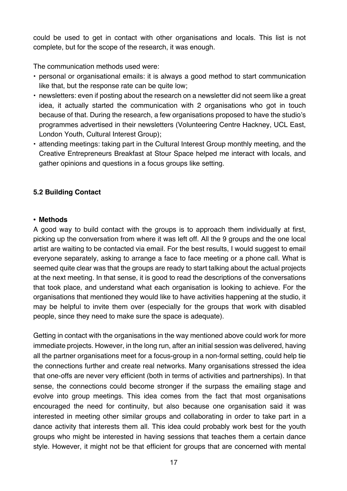could be used to get in contact with other organisations and locals. This list is not complete, but for the scope of the research, it was enough.

The communication methods used were:

- personal or organisational emails: it is always a good method to start communication like that, but the response rate can be quite low;
- newsletters: even if posting about the research on a newsletter did not seem like a great idea, it actually started the communication with 2 organisations who got in touch because of that. During the research, a few organisations proposed to have the studio's programmes advertised in their newsletters (Volunteering Centre Hackney, UCL East, London Youth, Cultural Interest Group);
- attending meetings: taking part in the Cultural Interest Group monthly meeting, and the Creative Entrepreneurs Breakfast at Stour Space helped me interact with locals, and gather opinions and questions in a focus groups like setting.

## **5.2 Building Contact**

#### • **Methods**

A good way to build contact with the groups is to approach them individually at first, picking up the conversation from where it was left off. All the 9 groups and the one local artist are waiting to be contacted via email. For the best results, I would suggest to email everyone separately, asking to arrange a face to face meeting or a phone call. What is seemed quite clear was that the groups are ready to start talking about the actual projects at the next meeting. In that sense, it is good to read the descriptions of the conversations that took place, and understand what each organisation is looking to achieve. For the organisations that mentioned they would like to have activities happening at the studio, it may be helpful to invite them over (especially for the groups that work with disabled people, since they need to make sure the space is adequate).

Getting in contact with the organisations in the way mentioned above could work for more immediate projects. However, in the long run, after an initial session was delivered, having all the partner organisations meet for a focus-group in a non-formal setting, could help tie the connections further and create real networks. Many organisations stressed the idea that one-offs are never very efficient (both in terms of activities and partnerships). In that sense, the connections could become stronger if the surpass the emailing stage and evolve into group meetings. This idea comes from the fact that most organisations encouraged the need for continuity, but also because one organisation said it was interested in meeting other similar groups and collaborating in order to take part in a dance activity that interests them all. This idea could probably work best for the youth groups who might be interested in having sessions that teaches them a certain dance style. However, it might not be that efficient for groups that are concerned with mental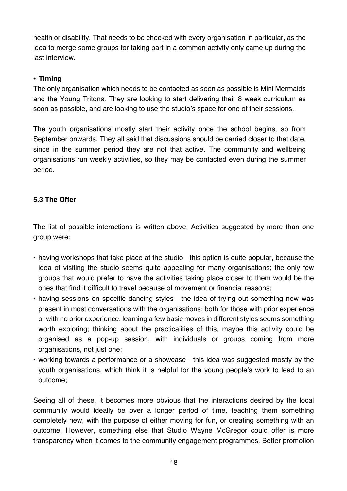health or disability. That needs to be checked with every organisation in particular, as the idea to merge some groups for taking part in a common activity only came up during the last interview.

## • **Timing**

The only organisation which needs to be contacted as soon as possible is Mini Mermaids and the Young Tritons. They are looking to start delivering their 8 week curriculum as soon as possible, and are looking to use the studio's space for one of their sessions.

The youth organisations mostly start their activity once the school begins, so from September onwards. They all said that discussions should be carried closer to that date, since in the summer period they are not that active. The community and wellbeing organisations run weekly activities, so they may be contacted even during the summer period.

# **5.3 The Offer**

The list of possible interactions is written above. Activities suggested by more than one group were:

- having workshops that take place at the studio this option is quite popular, because the idea of visiting the studio seems quite appealing for many organisations; the only few groups that would prefer to have the activities taking place closer to them would be the ones that find it difficult to travel because of movement or financial reasons;
- having sessions on specific dancing styles the idea of trying out something new was present in most conversations with the organisations; both for those with prior experience or with no prior experience, learning a few basic moves in different styles seems something worth exploring; thinking about the practicalities of this, maybe this activity could be organised as a pop-up session, with individuals or groups coming from more organisations, not just one;
- working towards a performance or a showcase this idea was suggested mostly by the youth organisations, which think it is helpful for the young people's work to lead to an outcome;

Seeing all of these, it becomes more obvious that the interactions desired by the local community would ideally be over a longer period of time, teaching them something completely new, with the purpose of either moving for fun, or creating something with an outcome. However, something else that Studio Wayne McGregor could offer is more transparency when it comes to the community engagement programmes. Better promotion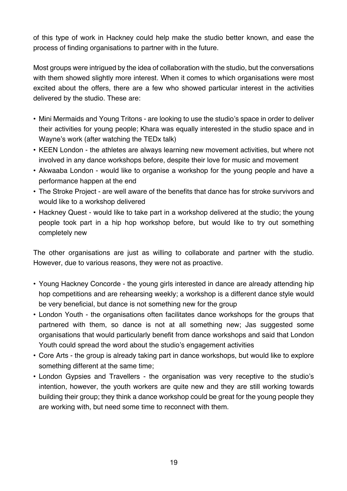of this type of work in Hackney could help make the studio better known, and ease the process of finding organisations to partner with in the future.

Most groups were intrigued by the idea of collaboration with the studio, but the conversations with them showed slightly more interest. When it comes to which organisations were most excited about the offers, there are a few who showed particular interest in the activities delivered by the studio. These are:

- Mini Mermaids and Young Tritons are looking to use the studio's space in order to deliver their activities for young people; Khara was equally interested in the studio space and in Wayne's work (after watching the TEDx talk)
- KEEN London the athletes are always learning new movement activities, but where not involved in any dance workshops before, despite their love for music and movement
- Akwaaba London would like to organise a workshop for the young people and have a performance happen at the end
- The Stroke Project are well aware of the benefits that dance has for stroke survivors and would like to a workshop delivered
- Hackney Quest would like to take part in a workshop delivered at the studio; the young people took part in a hip hop workshop before, but would like to try out something completely new

The other organisations are just as willing to collaborate and partner with the studio. However, due to various reasons, they were not as proactive.

- Young Hackney Concorde the young girls interested in dance are already attending hip hop competitions and are rehearsing weekly; a workshop is a different dance style would be very beneficial, but dance is not something new for the group
- London Youth the organisations often facilitates dance workshops for the groups that partnered with them, so dance is not at all something new; Jas suggested some organisations that would particularly benefit from dance workshops and said that London Youth could spread the word about the studio's engagement activities
- Core Arts the group is already taking part in dance workshops, but would like to explore something different at the same time;
- London Gypsies and Travellers the organisation was very receptive to the studio's intention, however, the youth workers are quite new and they are still working towards building their group; they think a dance workshop could be great for the young people they are working with, but need some time to reconnect with them.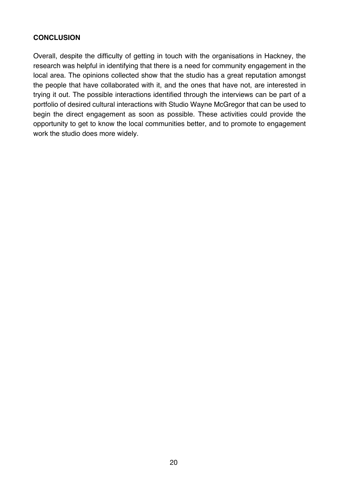## **CONCLUSION**

Overall, despite the difficulty of getting in touch with the organisations in Hackney, the research was helpful in identifying that there is a need for community engagement in the local area. The opinions collected show that the studio has a great reputation amongst the people that have collaborated with it, and the ones that have not, are interested in trying it out. The possible interactions identified through the interviews can be part of a portfolio of desired cultural interactions with Studio Wayne McGregor that can be used to begin the direct engagement as soon as possible. These activities could provide the opportunity to get to know the local communities better, and to promote to engagement work the studio does more widely.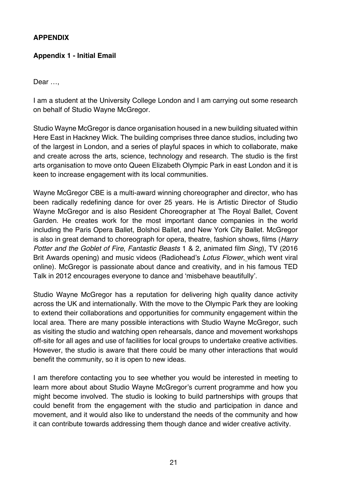## **APPENDIX**

## **Appendix 1 - Initial Email**

Dear …,

I am a student at the University College London and I am carrying out some research on behalf of Studio Wayne McGregor.

Studio Wayne McGregor is dance organisation housed in a new building situated within Here East in Hackney Wick. The building comprises three dance studios, including two of the largest in London, and a series of playful spaces in which to collaborate, make and create across the arts, science, technology and research. The studio is the first arts organisation to move onto Queen Elizabeth Olympic Park in east London and it is keen to increase engagement with its local communities.

Wayne McGregor CBE is a multi-award winning choreographer and director, who has been radically redefining dance for over 25 years. He is Artistic Director of Studio Wayne McGregor and is also Resident Choreographer at The Royal Ballet, Covent Garden. He creates work for the most important dance companies in the world including the Paris Opera Ballet, Bolshoi Ballet, and New York City Ballet. McGregor is also in great demand to choreograph for opera, theatre, fashion shows, films (*Harry Potter and the Goblet of Fire*, *Fantastic Beasts* 1 & 2, animated film *Sing*), TV (2016 Brit Awards opening) and music videos (Radiohead's *Lotus Flower*, which went viral online). McGregor is passionate about dance and creativity, and in his famous TED Talk in 2012 encourages everyone to dance and 'misbehave beautifully'.

Studio Wayne McGregor has a reputation for delivering high quality dance activity across the UK and internationally. With the move to the Olympic Park they are looking to extend their collaborations and opportunities for community engagement within the local area. There are many possible interactions with Studio Wayne McGregor, such as visiting the studio and watching open rehearsals, dance and movement workshops off-site for all ages and use of facilities for local groups to undertake creative activities. However, the studio is aware that there could be many other interactions that would benefit the community, so it is open to new ideas.

I am therefore contacting you to see whether you would be interested in meeting to learn more about about Studio Wayne McGregor's current programme and how you might become involved. The studio is looking to build partnerships with groups that could benefit from the engagement with the studio and participation in dance and movement, and it would also like to understand the needs of the community and how it can contribute towards addressing them though dance and wider creative activity.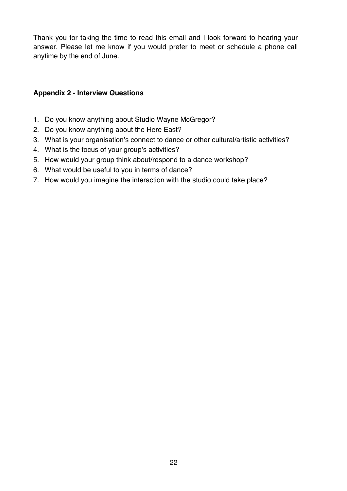Thank you for taking the time to read this email and I look forward to hearing your answer. Please let me know if you would prefer to meet or schedule a phone call anytime by the end of June.

### **Appendix 2 - Interview Questions**

- 1. Do you know anything about Studio Wayne McGregor?
- 2. Do you know anything about the Here East?
- 3. What is your organisation's connect to dance or other cultural/artistic activities?
- 4. What is the focus of your group's activities?
- 5. How would your group think about/respond to a dance workshop?
- 6. What would be useful to you in terms of dance?
- 7. How would you imagine the interaction with the studio could take place?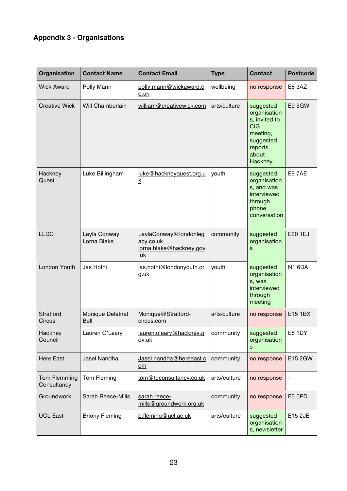# **Appendix 3 - Organisations**

| Organisation                | <b>Contact Name</b>                    | <b>Contact Email</b>                                                        | <b>Type</b>  | <b>Contact</b>                                                                                                   | <b>Postcode</b> |
|-----------------------------|----------------------------------------|-----------------------------------------------------------------------------|--------------|------------------------------------------------------------------------------------------------------------------|-----------------|
| <b>Wick Award</b>           | Polly Mann                             | polly.mann@wickaward.c<br>o.uk                                              | wellbeing    | no response                                                                                                      | E8 3AZ          |
| <b>Creative Wick</b>        | Will Chamberlain                       | william@creativewick.com                                                    | arts/culture | suggested<br>organisation<br>s, invited to<br><b>CIG</b><br>meeting,<br>suggested<br>reports<br>about<br>Hackney | <b>E9 5GW</b>   |
| Hackney<br>Quest            | Luke Billingham                        | luke@hackneyquest.org.u<br><u>k</u>                                         | youth        | suggested<br>organisation<br>s, and was<br>interviewed<br>through<br>phone<br>conversation                       | <b>E97AE</b>    |
| <b>LLDC</b>                 | Layla Conway<br>Lorna Blake            | LaylaConway@londonleg<br>acy.co.uk<br>lorna.blake@hackney.gov<br><u>.uk</u> | community    | suggested<br>organisation<br>S                                                                                   | E20 1EJ         |
| London Youth                | Jas Hothi                              | jas.hothi@londonyouth.or<br><u>g.uk</u>                                     | youth        | suggested<br>organisation<br>s, was<br>interviewed<br>through<br>meeting                                         | <b>N1 6DA</b>   |
| Stratford<br>Circus         | <b>Monique Deletnat</b><br><b>Bell</b> | Monique@Stratford-<br>circus.com                                            | arts/culture | no response                                                                                                      | E15 1BX         |
| Hackney<br>Council          | Lauren O'Leary                         | lauren.oleary@hackney.g<br>ov.uk                                            | community    | suggested<br>organisation<br>s                                                                                   | <b>E8 1DY</b>   |
| <b>Here East</b>            | Jasel Nandha                           | Jasel.nandha@hereeast.c<br>om                                               | community    | no response                                                                                                      | E15 2GW         |
| Tom Flemming<br>Consultancy | Tom Fleming                            | tom@tgconsultancy.co.uk                                                     | arts/culture | no response                                                                                                      |                 |
| Groundwork                  | <b>Sarah Reece-Mills</b>               | sarah.reece-<br>mills@groundwork.org.uk                                     | community    | no response                                                                                                      | E5 0PD          |
| <b>UCL East</b>             | <b>Briony Fleming</b>                  | b.fleming@ucl.ac.uk                                                         | arts/culture | suggested<br>organisation<br>s, newsletter                                                                       | E15 2JE         |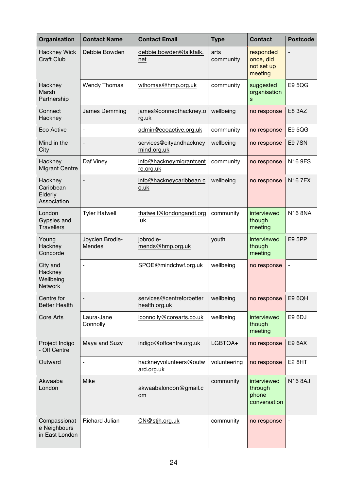| Organisation                                       | <b>Contact Name</b>              | <b>Contact Email</b>                      | <b>Type</b>       | <b>Contact</b>                                  | <b>Postcode</b>          |
|----------------------------------------------------|----------------------------------|-------------------------------------------|-------------------|-------------------------------------------------|--------------------------|
| <b>Hackney Wick</b><br><b>Craft Club</b>           | Debbie Bowden                    | debbie.bowden@talktalk.<br>net            | arts<br>community | responded<br>once, did<br>not set up<br>meeting |                          |
| Hackney<br>Marsh<br>Partnership                    | <b>Wendy Thomas</b>              | wthomas@hmp.org.uk                        | community         | suggested<br>organisation<br>S                  | <b>E9 5QG</b>            |
| Connect<br>Hackney                                 | James Demming                    | james@connecthackney.o<br>rg.uk           | wellbeing         | no response                                     | E8 3AZ                   |
| Eco Active                                         | $\overline{\phantom{0}}$         | admin@ecoactive.org.uk                    | community         | no response                                     | E9 5QG                   |
| Mind in the<br>City                                |                                  | services@cityandhackney<br>mind.org.uk    | wellbeing         | no response                                     | E9 7SN                   |
| Hackney<br><b>Migrant Centre</b>                   | Daf Viney                        | info@hackneymigrantcent<br>re.org.uk      | community         | no response                                     | <b>N16 9ES</b>           |
| Hackney<br>Caribbean<br>Elderly<br>Association     | $\overline{\phantom{0}}$         | info@hackneycaribbean.c<br>o.uk           | wellbeing         | no response                                     | <b>N167EX</b>            |
| London<br>Gypsies and<br><b>Travellers</b>         | <b>Tyler Hatwell</b>             | thatwell@londongandt.org<br><u>.uk</u>    | community         | interviewed<br>though<br>meeting                | <b>N16 8NA</b>           |
| Young<br>Hackney<br>Concorde                       | Joyclen Brodie-<br><b>Mendes</b> | jobrodie-<br>mends@hmp.org.uk             | youth             | interviewed<br>though<br>meeting                | <b>E9 5PP</b>            |
| City and<br>Hackney<br>Wellbeing<br><b>Network</b> | ä,                               | SPOE@mindchwf.org.uk                      | wellbeing         | no response                                     | $\overline{\phantom{a}}$ |
| Centre for<br><b>Better Health</b>                 |                                  | services@centreforbetter<br>health.org.uk | wellbeing         | no response                                     | E9 6QH                   |
| <b>Core Arts</b>                                   | Laura-Jane<br>Connolly           | lconnolly@corearts.co.uk                  | wellbeing         | interviewed<br>though<br>meeting                | E9 6DJ                   |
| Project Indigo<br>- Off Centre                     | Maya and Suzy                    | indigo@offcentre.org.uk                   | LGBTQA+           | no response                                     | E9 6AX                   |
| Outward                                            | ÷                                | hackneyvolunteers@outw<br>ard.org.uk      | volunteering      | no response                                     | <b>E2 8HT</b>            |
| Akwaaba<br>London                                  | <b>Mike</b>                      | akwaabalondon@gmail.c<br>om               | community         | interviewed<br>through<br>phone<br>conversation | <b>N16 8AJ</b>           |
| Compassionat<br>e Neighbours<br>in East London     | <b>Richard Julian</b>            | CN@stjh.org.uk                            | community         | no response                                     |                          |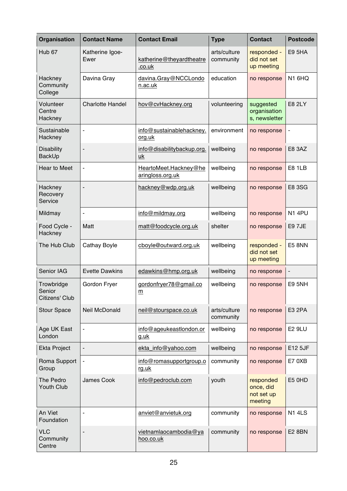| <b>Organisation</b>                    | <b>Contact Name</b>      | <b>Contact Email</b>                           | <b>Type</b>               | <b>Contact</b>                                  | <b>Postcode</b>              |
|----------------------------------------|--------------------------|------------------------------------------------|---------------------------|-------------------------------------------------|------------------------------|
| Hub <sub>67</sub>                      | Katherine Igoe-<br>Ewer  | katherine@theyardtheatre<br>.co.uk             | arts/culture<br>community | responded -<br>did not set<br>up meeting        | <b>E9 5HA</b>                |
| Hackney<br>Community<br>College        | Davina Gray              | davina.Gray@NCCLondo<br>n.ac.uk                | education                 | no response                                     | N1 6HQ                       |
| Volunteer<br>Centre<br>Hackney         | <b>Charlotte Handel</b>  | hov@cvHackney.org                              | volunteering              | suggested<br>organisation<br>s, newsletter      | <b>E8 2LY</b>                |
| Sustainable<br>Hackney                 | ٠                        | info@sustainablehackney.<br>org.uk             | environment               | no response                                     | $\qquad \qquad \blacksquare$ |
| <b>Disability</b><br>BackUp            | $\overline{a}$           | info@disabilitybackup.org.<br>$u$ <sub>k</sub> | wellbeing                 | no response                                     | E8 3AZ                       |
| Hear to Meet                           | ÷                        | HeartoMeet.Hackney@he<br>aringloss.org.uk      | wellbeing                 | no response                                     | <b>E8 1LB</b>                |
| Hackney<br>Recovery<br>Service         | $\overline{a}$           | hackney@wdp.org.uk                             | wellbeing                 | no response                                     | <b>E8 3SG</b>                |
| Mildmay                                |                          | info@mildmay.org                               | wellbeing                 | no response                                     | <b>N1 4PU</b>                |
| Food Cycle -<br>Hackney                | Matt                     | matt@foodcycle.org.uk                          | shelter                   | no response                                     | E9 7JE                       |
| The Hub Club                           | Cathay Boyle             | cboyle@outward.org.uk                          | wellbeing                 | responded -<br>did not set<br>up meeting        | <b>E5 8NN</b>                |
| Senior IAG                             | <b>Evette Dawkins</b>    | edawkins@hmp.org.uk                            | wellbeing                 | no response                                     | $\overline{a}$               |
| Trowbridge<br>Senior<br>Citizens' Club | Gordon Fryer             | gordonfryer78@gmail.co<br>m                    | wellbeing                 | no response                                     | <b>E9 5NH</b>                |
| <b>Stour Space</b>                     | Neil McDonald            | neil@stourspace.co.uk                          | arts/culture<br>community | no response                                     | E3 2PA                       |
| Age UK East<br>London                  | $\overline{a}$           | info@ageukeastlondon.or<br>g.uk                | wellbeing                 | no response                                     | <b>E2 9LU</b>                |
| <b>Ekta Project</b>                    | $\overline{\phantom{a}}$ | ekta_info@yahoo.com                            | wellbeing                 | no response                                     | E12 5JF                      |
| Roma Support<br>Group                  |                          | info@romasupportgroup.o<br>rg.uk               | community                 | no response                                     | E7 0XB                       |
| The Pedro<br><b>Youth Club</b>         | <b>James Cook</b>        | info@pedroclub.com                             | youth                     | responded<br>once, did<br>not set up<br>meeting | E5 0HD                       |
| An Viet<br>Foundation                  |                          | anviet@anvietuk.org                            | community                 | no response                                     | <b>N14LS</b>                 |
| <b>VLC</b><br>Community<br>Centre      | -                        | vietnamlaocambodia@ya<br>hoo.co.uk             | community                 | no response                                     | <b>E2 8BN</b>                |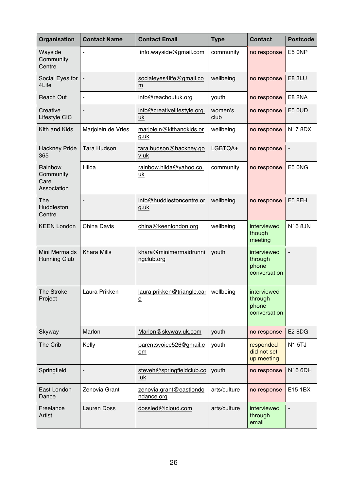| Organisation                                | <b>Contact Name</b> | <b>Contact Email</b>                                               | <b>Type</b>     | <b>Contact</b>                                  | <b>Postcode</b>          |
|---------------------------------------------|---------------------|--------------------------------------------------------------------|-----------------|-------------------------------------------------|--------------------------|
| Wayside<br>Community<br>Centre              |                     | info.wayside@gmail.com                                             | community       | no response                                     | E5 ONP                   |
| Social Eyes for<br>4Life                    |                     | socialeyes4life@gmail.co<br>m                                      | wellbeing       | no response                                     | <b>E8 3LU</b>            |
| <b>Reach Out</b>                            | L,                  | info@reachoutuk.org                                                | youth           | no response                                     | <b>E8 2NA</b>            |
| Creative<br>Lifestyle CIC                   | $\overline{a}$      | info@creativelifestyle.org.<br>uk                                  | women's<br>club | no response                                     | <b>E5 0UD</b>            |
| Kith and Kids                               | Marjolein de Vries  | marjolein@kithandkids.or<br>g.uk                                   | wellbeing       | no response                                     | N17 8DX                  |
| <b>Hackney Pride</b><br>365                 | <b>Tara Hudson</b>  | tara.hudson@hackney.go<br>v.uk                                     | LGBTQA+         | no response                                     | $\qquad \qquad -$        |
| Rainbow<br>Community<br>Care<br>Association | Hilda               | rainbow.hilda@yahoo.co.<br><u>uk</u>                               | community       | no response                                     | E5 ONG                   |
| The<br>Huddleston<br>Centre                 | ٠                   | info@huddlestoncentre.or<br><u>g.uk</u>                            | wellbeing       | no response                                     | <b>E5 8EH</b>            |
| <b>KEEN London</b>                          | <b>China Davis</b>  | china@keenlondon.org                                               | wellbeing       | interviewed<br>though<br>meeting                | <b>N16 8JN</b>           |
| Mini Mermaids<br><b>Running Club</b>        | <b>Khara Mills</b>  | khara@minimermaidrunni<br>ngclub.org                               | youth           | interviewed<br>through<br>phone<br>conversation |                          |
| The Stroke<br>Project                       | Laura Prikken       | laura.prikken@triangle.car   wellbeing<br>$\underline{\mathsf{e}}$ |                 | interviewed<br>through<br>phone<br>conversation | $\overline{\phantom{a}}$ |
| Skyway                                      | Marlon              | Marlon@skyway.uk.com                                               | youth           | no response                                     | E2 8DG                   |
| The Crib                                    | Kelly               | parentsvoice526@gmail.c<br>om                                      | youth           | responded -<br>did not set<br>up meeting        | <b>N1 5TJ</b>            |
| Springfield                                 |                     | steveh@springfieldclub.co<br><u>.uk</u>                            | youth           | no response                                     | N16 6DH                  |
| East London<br>Dance                        | Zenovia Grant       | zenovia.grant@eastlondo<br>ndance.org                              | arts/culture    | no response                                     | E15 1BX                  |
| Freelance<br>Artist                         | <b>Lauren Doss</b>  | dossled@icloud.com                                                 | arts/culture    | interviewed<br>through<br>email                 |                          |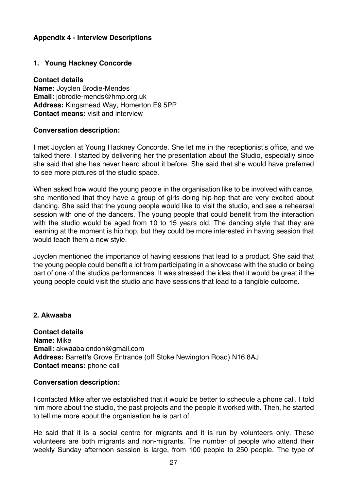## **Appendix 4 - Interview Descriptions**

## **1. Young Hackney Concorde**

**Contact details Name:** Joyclen Brodie-Mendes **Email:** jobrodie-mends@hmp.org.uk **Address:** Kingsmead Way, Homerton E9 5PP **Contact means:** visit and interview

#### **Conversation description:**

I met Joyclen at Young Hackney Concorde. She let me in the receptionist's office, and we talked there. I started by delivering her the presentation about the Studio, especially since she said that she has never heard about it before. She said that she would have preferred to see more pictures of the studio space.

When asked how would the young people in the organisation like to be involved with dance. she mentioned that they have a group of girls doing hip-hop that are very excited about dancing. She said that the young people would like to visit the studio, and see a rehearsal session with one of the dancers. The young people that could benefit from the interaction with the studio would be aged from 10 to 15 years old. The dancing style that they are learning at the moment is hip hop, but they could be more interested in having session that would teach them a new style.

Joyclen mentioned the importance of having sessions that lead to a product. She said that the young people could benefit a lot from participating in a showcase with the studio or being part of one of the studios performances. It was stressed the idea that it would be great if the young people could visit the studio and have sessions that lead to a tangible outcome.

#### **2. Akwaaba**

**Contact details Name:** Mike **Email:** akwaabalondon@gmail.com **Address:** Barrett's Grove Entrance (off Stoke Newington Road) N16 8AJ **Contact means:** phone call

### **Conversation description:**

I contacted Mike after we established that it would be better to schedule a phone call. I told him more about the studio, the past projects and the people it worked with. Then, he started to tell me more about the organisation he is part of.

He said that it is a social centre for migrants and it is run by volunteers only. These volunteers are both migrants and non-migrants. The number of people who attend their weekly Sunday afternoon session is large, from 100 people to 250 people. The type of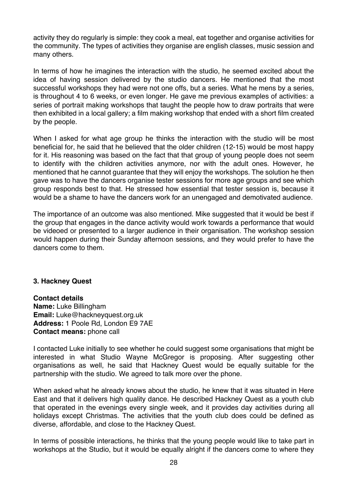activity they do regularly is simple: they cook a meal, eat together and organise activities for the community. The types of activities they organise are english classes, music session and many others.

In terms of how he imagines the interaction with the studio, he seemed excited about the idea of having session delivered by the studio dancers. He mentioned that the most successful workshops they had were not one offs, but a series. What he mens by a series, is throughout 4 to 6 weeks, or even longer. He gave me previous examples of activities: a series of portrait making workshops that taught the people how to draw portraits that were then exhibited in a local gallery; a film making workshop that ended with a short film created by the people.

When I asked for what age group he thinks the interaction with the studio will be most beneficial for, he said that he believed that the older children (12-15) would be most happy for it. His reasoning was based on the fact that that group of young people does not seem to identify with the children activities anymore, nor with the adult ones. However, he mentioned that he cannot guarantee that they will enjoy the workshops. The solution he then gave was to have the dancers organise tester sessions for more age groups and see which group responds best to that. He stressed how essential that tester session is, because it would be a shame to have the dancers work for an unengaged and demotivated audience.

The importance of an outcome was also mentioned. Mike suggested that it would be best if the group that engages in the dance activity would work towards a performance that would be videoed or presented to a larger audience in their organisation. The workshop session would happen during their Sunday afternoon sessions, and they would prefer to have the dancers come to them.

#### **3. Hackney Quest**

**Contact details Name:** Luke Billingham **Email:** Luke@hackneyquest.org.uk **Address:** 1 Poole Rd, London E9 7AE **Contact means:** phone call

I contacted Luke initially to see whether he could suggest some organisations that might be interested in what Studio Wayne McGregor is proposing. After suggesting other organisations as well, he said that Hackney Quest would be equally suitable for the partnership with the studio. We agreed to talk more over the phone.

When asked what he already knows about the studio, he knew that it was situated in Here East and that it delivers high quality dance. He described Hackney Quest as a youth club that operated in the evenings every single week, and it provides day activities during all holidays except Christmas. The activities that the youth club does could be defined as diverse, affordable, and close to the Hackney Quest.

In terms of possible interactions, he thinks that the young people would like to take part in workshops at the Studio, but it would be equally alright if the dancers come to where they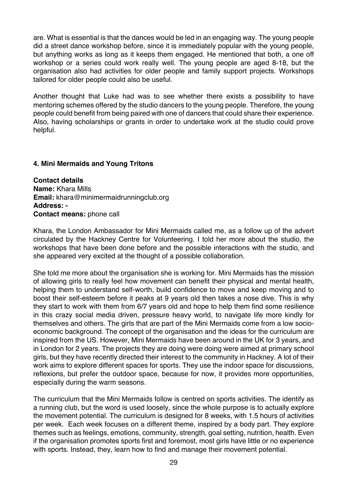are. What is essential is that the dances would be led in an engaging way. The young people did a street dance workshop before, since it is immediately popular with the young people, but anything works as long as it keeps them engaged. He mentioned that both, a one off workshop or a series could work really well. The young people are aged 8-18, but the organisation also had activities for older people and family support projects. Workshops tailored for older people could also be useful.

Another thought that Luke had was to see whether there exists a possibility to have mentoring schemes offered by the studio dancers to the young people. Therefore, the young people could benefit from being paired with one of dancers that could share their experience. Also, having scholarships or grants in order to undertake work at the studio could prove helpful.

#### **4. Mini Mermaids and Young Tritons**

**Contact details Name:** Khara Mills **Email:** khara@minimermaidrunningclub.org **Address: - Contact means:** phone call

Khara, the London Ambassador for Mini Mermaids called me, as a follow up of the advert circulated by the Hackney Centre for Volunteering. I told her more about the studio, the workshops that have been done before and the possible interactions with the studio, and she appeared very excited at the thought of a possible collaboration.

She told me more about the organisation she is working for. Mini Mermaids has the mission of allowing girls to really feel how movement can benefit their physical and mental health, helping them to understand self-worth, build confidence to move and keep moving and to boost their self-esteem before it peaks at 9 years old then takes a nose dive. This is why they start to work with them from 6/7 years old and hope to help them find some resilience in this crazy social media driven, pressure heavy world, to navigate life more kindly for themselves and others. The girls that are part of the Mini Mermaids come from a low socioeconomic background. The concept of the organisation and the ideas for the curriculum are inspired from the US. However, Mini Mermaids have been around in the UK for 3 years, and in London for 2 years. The projects they are doing were doing were aimed at primary school girls, but they have recently directed their interest to the community in Hackney. A lot of their work aims to explore different spaces for sports. They use the indoor space for discussions, reflexions, but prefer the outdoor space, because for now, it provides more opportunities, especially during the warm seasons.

The curriculum that the Mini Mermaids follow is centred on sports activities. The identify as a running club, but the word is used loosely, since the whole purpose is to actually explore the movement potential. The curriculum is designed for 8 weeks, with 1.5 hours of activities per week. Each week focuses on a different theme, inspired by a body part. They explore themes such as feelings, emotions, community, strength, goal setting, nutrition, health. Even if the organisation promotes sports first and foremost, most girls have little or no experience with sports. Instead, they, learn how to find and manage their movement potential.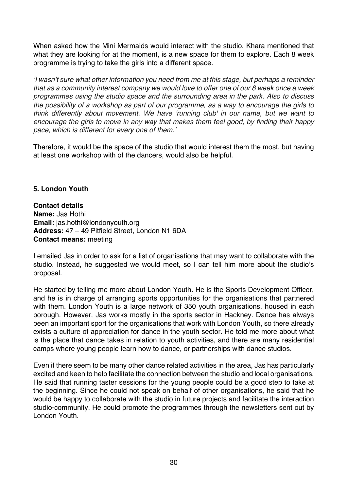When asked how the Mini Mermaids would interact with the studio, Khara mentioned that what they are looking for at the moment, is a new space for them to explore. Each 8 week programme is trying to take the girls into a different space.

*'I wasn't sure what other information you need from me at this stage, but perhaps a reminder that as a community interest company we would love to offer one of our 8 week once a week programmes using the studio space and the surrounding area in the park. Also to discuss the possibility of a workshop as part of our programme, as a way to encourage the girls to think differently about movement. We have 'running club' in our name, but we want to encourage the girls to move in any way that makes them feel good, by finding their happy pace, which is different for every one of them.'*

Therefore, it would be the space of the studio that would interest them the most, but having at least one workshop with of the dancers, would also be helpful.

### **5. London Youth**

#### **Contact details**

**Name:** Jas Hothi **Email:** jas.hothi@londonyouth.org **Address:** 47 – 49 Pitfield Street, London N1 6DA **Contact means:** meeting

I emailed Jas in order to ask for a list of organisations that may want to collaborate with the studio. Instead, he suggested we would meet, so I can tell him more about the studio's proposal.

He started by telling me more about London Youth. He is the Sports Development Officer, and he is in charge of arranging sports opportunities for the organisations that partnered with them. London Youth is a large network of 350 youth organisations, housed in each borough. However, Jas works mostly in the sports sector in Hackney. Dance has always been an important sport for the organisations that work with London Youth, so there already exists a culture of appreciation for dance in the youth sector. He told me more about what is the place that dance takes in relation to youth activities, and there are many residential camps where young people learn how to dance, or partnerships with dance studios.

Even if there seem to be many other dance related activities in the area, Jas has particularly excited and keen to help facilitate the connection between the studio and local organisations. He said that running taster sessions for the young people could be a good step to take at the beginning. Since he could not speak on behalf of other organisations, he said that he would be happy to collaborate with the studio in future projects and facilitate the interaction studio-community. He could promote the programmes through the newsletters sent out by London Youth.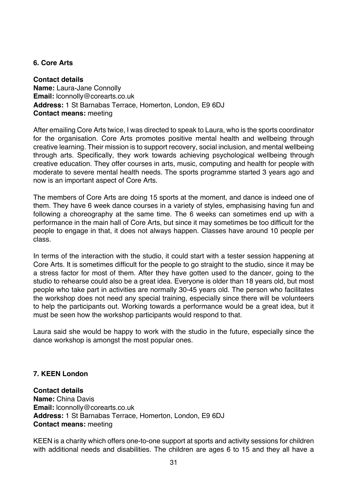#### **6. Core Arts**

**Contact details Name:** Laura-Jane Connolly **Email:** lconnolly@corearts.co.uk **Address:** 1 St Barnabas Terrace, Homerton, London, E9 6DJ **Contact means:** meeting

After emailing Core Arts twice, I was directed to speak to Laura, who is the sports coordinator for the organisation. Core Arts promotes positive mental health and wellbeing through creative learning. Their mission is to support recovery, social inclusion, and mental wellbeing through arts. Specifically, they work towards achieving psychological wellbeing through creative education. They offer courses in arts, music, computing and health for people with moderate to severe mental health needs. The sports programme started 3 years ago and now is an important aspect of Core Arts.

The members of Core Arts are doing 15 sports at the moment, and dance is indeed one of them. They have 6 week dance courses in a variety of styles, emphasising having fun and following a choreography at the same time. The 6 weeks can sometimes end up with a performance in the main hall of Core Arts, but since it may sometimes be too difficult for the people to engage in that, it does not always happen. Classes have around 10 people per class.

In terms of the interaction with the studio, it could start with a tester session happening at Core Arts. It is sometimes difficult for the people to go straight to the studio, since it may be a stress factor for most of them. After they have gotten used to the dancer, going to the studio to rehearse could also be a great idea. Everyone is older than 18 years old, but most people who take part in activities are normally 30-45 years old. The person who facilitates the workshop does not need any special training, especially since there will be volunteers to help the participants out. Working towards a performance would be a great idea, but it must be seen how the workshop participants would respond to that.

Laura said she would be happy to work with the studio in the future, especially since the dance workshop is amongst the most popular ones.

### **7. KEEN London**

**Contact details Name:** China Davis **Email:** lconnolly@corearts.co.uk **Address:** 1 St Barnabas Terrace, Homerton, London, E9 6DJ **Contact means:** meeting

KEEN is a charity which offers one-to-one support at sports and activity sessions for children with additional needs and disabilities. The children are ages 6 to 15 and they all have a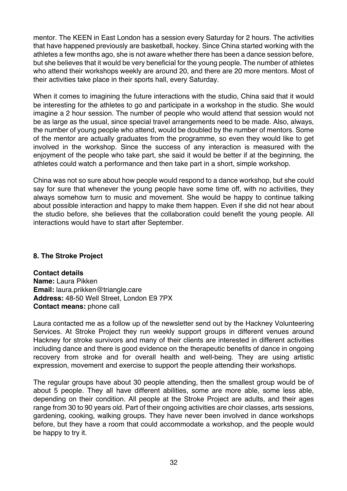mentor. The KEEN in East London has a session every Saturday for 2 hours. The activities that have happened previously are basketball, hockey. Since China started working with the athletes a few months ago, she is not aware whether there has been a dance session before, but she believes that it would be very beneficial for the young people. The number of athletes who attend their workshops weekly are around 20, and there are 20 more mentors. Most of their activities take place in their sports hall, every Saturday.

When it comes to imagining the future interactions with the studio, China said that it would be interesting for the athletes to go and participate in a workshop in the studio. She would imagine a 2 hour session. The number of people who would attend that session would not be as large as the usual, since special travel arrangements need to be made. Also, always, the number of young people who attend, would be doubled by the number of mentors. Some of the mentor are actually graduates from the programme, so even they would like to get involved in the workshop. Since the success of any interaction is measured with the enjoyment of the people who take part, she said it would be better if at the beginning, the athletes could watch a performance and then take part in a short, simple workshop.

China was not so sure about how people would respond to a dance workshop, but she could say for sure that whenever the young people have some time off, with no activities, they always somehow turn to music and movement. She would be happy to continue talking about possible interaction and happy to make them happen. Even if she did not hear about the studio before, she believes that the collaboration could benefit the young people. All interactions would have to start after September.

### **8. The Stroke Project**

**Contact details Name:** Laura Pikken **Email:** laura.prikken@triangle.care **Address:** 48-50 Well Street, London E9 7PX **Contact means:** phone call

Laura contacted me as a follow up of the newsletter send out by the Hackney Volunteering Services. At Stroke Project they run weekly support groups in different venues around Hackney for stroke survivors and many of their clients are interested in different activities including dance and there is good evidence on the therapeutic benefits of dance in ongoing recovery from stroke and for overall health and well-being. They are using artistic expression, movement and exercise to support the people attending their workshops.

The regular groups have about 30 people attending, then the smallest group would be of about 5 people. They all have different abilities, some are more able, some less able, depending on their condition. All people at the Stroke Project are adults, and their ages range from 30 to 90 years old. Part of their ongoing activities are choir classes, arts sessions, gardening, cooking, walking groups. They have never been involved in dance workshops before, but they have a room that could accommodate a workshop, and the people would be happy to try it.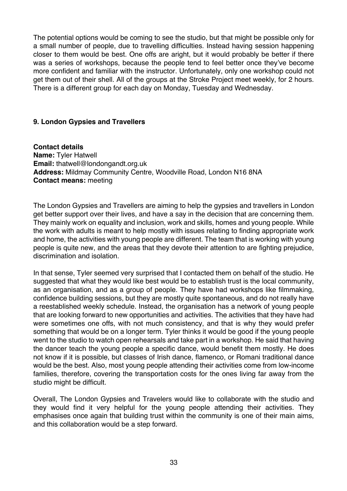The potential options would be coming to see the studio, but that might be possible only for a small number of people, due to travelling difficulties. Instead having session happening closer to them would be best. One offs are aright, but it would probably be better if there was a series of workshops, because the people tend to feel better once they've become more confident and familiar with the instructor. Unfortunately, only one workshop could not get them out of their shell. All of the groups at the Stroke Project meet weekly, for 2 hours. There is a different group for each day on Monday, Tuesday and Wednesday.

#### **9. London Gypsies and Travellers**

**Contact details Name:** Tyler Hatwell **Email:** thatwell@londongandt.org.uk **Address:** Mildmay Community Centre, Woodville Road, London N16 8NA **Contact means:** meeting

The London Gypsies and Travellers are aiming to help the gypsies and travellers in London get better support over their lives, and have a say in the decision that are concerning them. They mainly work on equality and inclusion, work and skills, homes and young people. While the work with adults is meant to help mostly with issues relating to finding appropriate work and home, the activities with young people are different. The team that is working with young people is quite new, and the areas that they devote their attention to are fighting prejudice, discrimination and isolation.

In that sense, Tyler seemed very surprised that I contacted them on behalf of the studio. He suggested that what they would like best would be to establish trust is the local community, as an organisation, and as a group of people. They have had workshops like filmmaking, confidence building sessions, but they are mostly quite spontaneous, and do not really have a reestablished weekly schedule. Instead, the organisation has a network of young people that are looking forward to new opportunities and activities. The activities that they have had were sometimes one offs, with not much consistency, and that is why they would prefer something that would be on a longer term. Tyler thinks it would be good if the young people went to the studio to watch open rehearsals and take part in a workshop. He said that having the dancer teach the young people a specific dance, would benefit them mostly. He does not know if it is possible, but classes of Irish dance, flamenco, or Romani traditional dance would be the best. Also, most young people attending their activities come from low-income families, therefore, covering the transportation costs for the ones living far away from the studio might be difficult.

Overall, The London Gypsies and Travelers would like to collaborate with the studio and they would find it very helpful for the young people attending their activities. They emphasises once again that building trust within the community is one of their main aims, and this collaboration would be a step forward.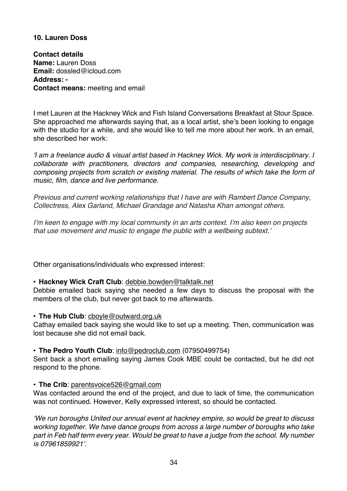#### **10. Lauren Doss**

**Contact details Name:** Lauren Doss **Email:** dossled@icloud.com **Address: - Contact means:** meeting and email

I met Lauren at the Hackney Wick and Fish Island Conversations Breakfast at Stour Space. She approached me afterwards saying that, as a local artist, she's been looking to engage with the studio for a while, and she would like to tell me more about her work. In an email, she described her work:

*'I am a freelance audio & visual artist based in Hackney Wick. My work is interdisciplinary. I collaborate with practitioners, directors and companies, researching, developing and composing projects from scratch or existing material. The results of which take the form of music, film, dance and live performance.*

*Previous and current working relationships that I have are with Rambert Dance Company, Collectress, Alex Garland, Michael Grandage and Natasha Khan amongst others.*

*I'm keen to engage with my local community in an arts context. I'm also keen on projects that use movement and music to engage the public with a wellbeing subtext.'*

Other organisations/individuals who expressed interest:

#### • **Hackney Wick Craft Club**: debbie.bowden@talktalk.net

Debbie emailed back saying she needed a few days to discuss the proposal with the members of the club, but never got back to me afterwards.

• **The Hub Club**: cboyle@outward.org.uk

Cathay emailed back saying she would like to set up a meeting. Then, communication was lost because she did not email back.

#### • **The Pedro Youth Club**: info@pedroclub.com (07950499754)

Sent back a short emailing saying James Cook MBE could be contacted, but he did not respond to the phone.

#### • **The Crib**: parentsvoice526@gmail.com

Was contacted around the end of the project, and due to lack of time, the communication was not continued. However, Kelly expressed interest, so should be contacted.

*'We run boroughs United our annual event at hackney empire, so would be great to discuss working together. We have dance groups from across a large number of boroughs who take part in Feb half term every year. Would be great to have a judge from the school. My number is 07961859921'.*